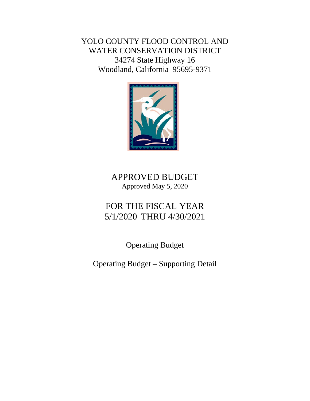YOLO COUNTY FLOOD CONTROL AND WATER CONSERVATION DISTRICT 34274 State Highway 16 Woodland, California 95695-9371



## APPROVED BUDGET Approved May 5, 2020

# FOR THE FISCAL YEAR 5/1/2020 THRU 4/30/2021

Operating Budget

Operating Budget – Supporting Detail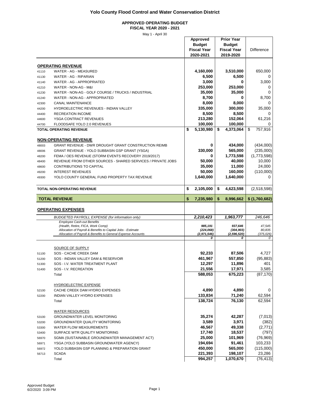### **APPROVED OPERATING BUDGET**

**FISCAL YEAR 2020 - 2021**

|                |                                                                                                  | Approved<br><b>Budget</b><br><b>Fiscal Year</b><br>2020-2021 | <b>Prior Year</b><br><b>Budget</b><br><b>Fiscal Year</b><br>2019-2020 | <b>Difference</b> |
|----------------|--------------------------------------------------------------------------------------------------|--------------------------------------------------------------|-----------------------------------------------------------------------|-------------------|
|                |                                                                                                  |                                                              |                                                                       |                   |
|                | <b>OPERATING REVENUE</b>                                                                         |                                                              |                                                                       |                   |
| 41110          | WATER - AG - MEASURED                                                                            | 4,160,000                                                    | 3,510,000                                                             | 650,000           |
| 41130          | WATER - AG - RIPARIAN<br>WATER - AG - APPROPRIATED                                               | 6,500<br>3,000                                               | 6,500<br>0                                                            | 0<br>3,000        |
| 41140          | WATER - NON-AG - M&I                                                                             | 253,000                                                      | 253,000                                                               | 0                 |
| 41210<br>41230 | WATER - NON-AG - GOLF COURSE / TRUCKS / INDUSTRIAL                                               | 35,000                                                       | 35,000                                                                | 0                 |
| 41240          | WATER - NON-AG - APPROPRIATED                                                                    | 8,700                                                        | 0                                                                     | 8.700             |
| 42300          | <b>CANAL MAINTENANCE</b>                                                                         | 8,000                                                        | 8,000                                                                 | 0                 |
| 44200          | HYDROELECTRIC REVENUES - INDIAN VALLEY                                                           | 335,000                                                      | 300,000                                                               | 35,000            |
| 44400          | <b>RECREATION INCOME</b>                                                                         | 8,500                                                        | 8,500                                                                 | 0                 |
| 44600          | YSGA CONTRACT REVENUES                                                                           | 213,280                                                      | 152,064                                                               | 61,216            |
| 44700          | FLOODSAFE YOLO 2.0 REVENUES                                                                      | 100,000                                                      | 100,000                                                               | 0                 |
|                | <b>TOTAL OPERATING REVENUE</b>                                                                   | \$<br>5,130,980                                              | \$<br>4,373,064                                                       | 757,916<br>\$     |
|                |                                                                                                  |                                                              |                                                                       |                   |
|                | <u>NON-OPERATING REVENUE</u>                                                                     |                                                              |                                                                       |                   |
| 48003          | <b>GRANT REVENUE - DWR DROUGHT GRANT CONSTRUCTION REIMB</b>                                      | 0                                                            | 434,000                                                               | (434,000)         |
| 48006          | GRANT REVENUE - YOLO SUBBASIN GSP GRANT (YSGA)                                                   | 330,000                                                      | 565,000                                                               | (235,000)         |
| 48200          | FEMA / OES REVENUE (STORM EVENTS RECOVERY 2019/2017)                                             | 0                                                            | 1,773,598                                                             | (1,773,598)       |
| 48400          | REVENUE FROM OTHER SOURCES - SHARED SERVICES / PRIVATE JOBS                                      | 50,000                                                       | 40,000                                                                | 10,000            |
| 48600          | <b>CONTRIBUTIONS TO CAPITAL</b>                                                                  | 35,000                                                       | 11,000                                                                | 24,000            |
| 49200          | <b>INTEREST REVENUES</b>                                                                         | 50,000                                                       | 160,000                                                               | (110,000)         |
| 49300          | YOLO COUNTY GENERAL FUND PROPERTY TAX REVENUE                                                    | 1,640,000                                                    | 1,640,000                                                             | 0                 |
|                | TOTAL NON-OPERATING REVENUE                                                                      | \$<br>2,105,000                                              | \$<br>4,623,598                                                       | (2,518,598)       |
|                | <b>TOTAL REVENUE</b>                                                                             | \$<br>7,235,980                                              | \$<br>8,996,662                                                       | \$(1,760,682)     |
|                |                                                                                                  |                                                              |                                                                       |                   |
|                | <b>OPERATING EXPENSES</b>                                                                        |                                                              |                                                                       |                   |
|                | <b>BUDGETED PAYROLL EXPENSE (for information only)</b>                                           | 2,210,423                                                    | 1,963,777                                                             | 246,646           |
|                | <b>Employee Cash-out Benefits</b>                                                                |                                                              |                                                                       |                   |
|                | (Health, Retire, FICA, Work Comp)<br>Allocation of Payroll & Benefits to Capital Jobs - Estimate | 985,191<br>(224, 068)                                        | 937,646<br>(304, 903)                                                 | 47,545<br>80,835  |
|                | Allocation of Payroll & Benefits to General Expense Accounts                                     | (2,971,546)                                                  | (2, 596, 520)                                                         | (375, 026)        |
|                |                                                                                                  | 0                                                            | 0                                                                     | 0                 |
|                |                                                                                                  |                                                              |                                                                       |                   |
|                | SOURCE OF SUPPLY                                                                                 |                                                              |                                                                       |                   |
| 51100          | <b>SOS - CACHE CREEK DAM</b><br>SOS - INDIAN VALLEY DAM & RESERVOIR                              | 92,233<br>461,967                                            | 87,506<br>557,850                                                     | 4,727             |
| 51200          |                                                                                                  |                                                              |                                                                       | (95, 883)         |
| 51300<br>51400 | SOS - I.V. WATER TREATMENT PLANT<br>SOS - I.V. RECREATION                                        | 12,297<br>21,556                                             | 11,896<br>17,971                                                      | 401<br>3,585      |
|                | Total                                                                                            | 588,053                                                      | 675,223                                                               | (87, 170)         |
|                |                                                                                                  |                                                              |                                                                       |                   |
|                | <b>HYDROELECTRIC EXPENSE</b>                                                                     |                                                              |                                                                       |                   |
| 52100          | CACHE CREEK DAM HYDRO EXPENSES                                                                   | 4,890                                                        | 4,890                                                                 | 0                 |
| 52200          | INDIAN VALLEY HYDRO EXPENSES                                                                     | 133,834                                                      | 71,240                                                                | 62,594            |
|                | Total                                                                                            | 138,724                                                      | 76,130                                                                | 62,594            |
|                |                                                                                                  |                                                              |                                                                       |                   |
|                | <b>WATER RESOURCES</b>                                                                           |                                                              |                                                                       |                   |
| 53100          | <b>GROUNDWATER LEVEL MONITORING</b>                                                              | 35,274                                                       | 42,287                                                                | (7,013)           |
| 53200          | GROUNDWATER QUALITY MONITORING                                                                   | 3,589                                                        | 3,971                                                                 | (382)             |
| 53300          | WATER FLOW MEASUREMENTS                                                                          | 46,567                                                       | 49,338                                                                | (2,771)           |
| 53400          | SURFACE WTR QUALITY MONITORING                                                                   | 17,740                                                       | 18,537                                                                | (797)             |
| 56970          | SGMA (SUSTAINABLE GROUNDWATER MANAGEMENT ACT)                                                    | 25,000                                                       | 101,969                                                               | (76, 969)         |
| 56971          | YSGA (YOLO SUBBASIN GROUNDWATER AGENCY)                                                          | 194,694                                                      | 91,461                                                                | 103,233           |
| 56972          | YOLO SUBBASIN GSP PLANNING & PREPARATION GRANT                                                   | 450,000                                                      | 565,000                                                               | (115,000)         |
| 56713          | <b>SCADA</b>                                                                                     | 221,393                                                      | 198,107                                                               | 23,286            |
|                | Total                                                                                            | 994,257                                                      | 1,070,670                                                             | (76, 413)         |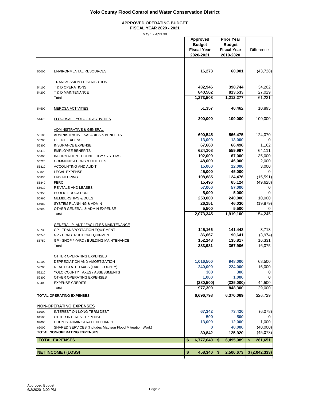#### **APPROVED OPERATING BUDGET FISCAL YEAR 2020 - 2021**

|                |                                                                               | Approved<br><b>Budget</b><br><b>Fiscal Year</b><br>2020-2021 | <b>Prior Year</b><br><b>Budget</b><br><b>Fiscal Year</b><br>2019-2020 | <b>Difference</b> |
|----------------|-------------------------------------------------------------------------------|--------------------------------------------------------------|-----------------------------------------------------------------------|-------------------|
|                |                                                                               |                                                              |                                                                       |                   |
| 55000          | <b>ENVIRONMENTAL RESOURCES</b>                                                | 16,273                                                       | 60,001                                                                | (43, 728)         |
|                | <b>TRANSMISSION / DISTRIBUTION</b>                                            |                                                              |                                                                       |                   |
| 54100          | T & D OPERATIONS                                                              | 432,946                                                      | 398,744                                                               | 34,202            |
| 54200          | T & D MAINTENANCE                                                             | 840,562                                                      | 813,533                                                               | 27,029            |
|                | Total                                                                         | 1,273,508                                                    | 1,212,277                                                             | 61,231            |
| 54500          | <b>MERCSA ACTIVITIES</b>                                                      | 51,357                                                       | 40,462                                                                | 10,895            |
| 54470          | <b>FLOODSAFE YOLO 2.0 ACTIVITIES</b>                                          | 200,000                                                      | 100,000                                                               | 100,000           |
|                | ADMINISTRATIVE & GENERAL                                                      |                                                              |                                                                       |                   |
| 56100          | ADMINISTRATIVE SALARIES & BENEFITS                                            | 690,545                                                      | 566,475                                                               | 124,070           |
| 56200          | <b>OFFICE EXPENSE</b>                                                         | 13,000                                                       | 13,000                                                                | 0                 |
| 56300          | <b>INSURANCE EXPENSE</b>                                                      | 67,660                                                       | 66,498                                                                | 1,162             |
| 56410          | <b>EMPLOYEE BENEFITS</b>                                                      | 624,108                                                      | 559,997                                                               | 64,111            |
| 56600          | <b>INFORMATION TECHNOLOGY SYSTEMS</b>                                         | 102,000                                                      | 67,000                                                                | 35,000            |
| 56720          | <b>COMMUNICATIONS &amp; UTILITIES</b>                                         | 48,000                                                       | 46,000                                                                | 2,000             |
| 56810          | <b>ACCOUNTING AND AUDIT</b>                                                   | 15,000                                                       | 12,000                                                                | 3,000             |
| 56820          | <b>LEGAL EXPENSE</b>                                                          | 45,000                                                       | 45,000                                                                | 0                 |
| 56830          | <b>ENGINEERING</b>                                                            | 108,885                                                      | 124,476                                                               | (15, 591)         |
| 56840          | <b>FERC</b>                                                                   | 15,496                                                       | 65,124                                                                | (49, 628)         |
| 56910          | RENTALS AND LEASES                                                            | 57,000<br>5,000                                              | 57,000                                                                | 0                 |
| 56950          | PUBLIC EDUCATION                                                              | 250,000                                                      | 5,000<br>240,000                                                      | 0<br>10,000       |
| 56960          | <b>MEMBERSHIPS &amp; DUES</b><br>SYSTEM PLANNING & ADMIN                      | 26,151                                                       | 46,030                                                                | (19, 879)         |
| 56980<br>56990 | OTHER GENERAL & ADMIN EXPENSE                                                 | 5,500                                                        | 5,500                                                                 | 0                 |
|                | Total                                                                         | 2,073,345                                                    | 1,919,100                                                             | 154,245           |
|                |                                                                               |                                                              |                                                                       |                   |
|                | <b>GENERAL PLANT / FACILITIES MAINTENANCE</b>                                 |                                                              |                                                                       |                   |
| 56730          | <b>GP - TRANSPORTATION EQUIPMENT</b>                                          | 145,166                                                      | 141,448                                                               | 3,718             |
| 56740          | <b>GP - CONSTRUCTION EQUIPMENT</b><br>GP - SHOP / YARD / BUILDING MAINTENANCE | 86,667<br>152,148                                            | 90,641                                                                | (3,974)           |
| 56750          | Total                                                                         | 383,981                                                      | 135,817<br>367,906                                                    | 16,331<br>16,075  |
|                |                                                                               |                                                              |                                                                       |                   |
|                | OTHER OPERATING EXPENSES                                                      |                                                              |                                                                       |                   |
| 59100          | DEPRECIATION AND AMORTIZATION                                                 | 1,016,500                                                    | 948,000                                                               | 68,500            |
| 59200          | REAL ESTATE TAXES (LAKE COUNTY)                                               | 240,000                                                      | 224,000                                                               | 16,000            |
| 59210          | YOLO COUNTY TAXES / ASSESSMENTS                                               | 300                                                          | 300                                                                   | 0                 |
| 59300          | OTHER OPERATING EXPENSES                                                      | 1,000                                                        | 1,000                                                                 |                   |
| 59400          | <b>EXPENSE CREDITS</b>                                                        | (280, 500)<br>977,300                                        | (325,000)<br>848,300                                                  | 44,500<br>129,000 |
|                | Total                                                                         |                                                              |                                                                       |                   |
|                | <b>TOTAL OPERATING EXPENSES</b>                                               | 6,696,798                                                    | 6,370,069                                                             | 326,729           |
|                | <b>NON-OPERATING EXPENSES</b>                                                 |                                                              |                                                                       |                   |
| 61000          | INTEREST ON LONG-TERM DEBT                                                    | 67,342                                                       | 73,420                                                                | (6,078)           |
| 61500          | OTHER INTEREST EXPENSE                                                        | 500                                                          | 500                                                                   | 0                 |
| 64000          | COUNTY ADMINISTRATION CHARGE                                                  | 13,000                                                       | 12,000                                                                | 1,000             |
| 66000          | SHARED SERVICES (Includes Madison Flood Mitigation Work)                      | 0                                                            | 40,000                                                                | (40,000)          |
|                | <b>TOTAL NON-OPERATING EXPENSES</b>                                           | 80,842                                                       | 125,920                                                               | (45,078)          |
|                | <b>TOTAL EXPENSES</b>                                                         | \$<br>6,777,640                                              | \$<br>6,495,989                                                       | 281,651<br>\$     |
|                | <b>NET INCOME / (LOSS)</b>                                                    | \$<br>458,340                                                | \$<br>2,500,673                                                       | \$ (2,042,333)    |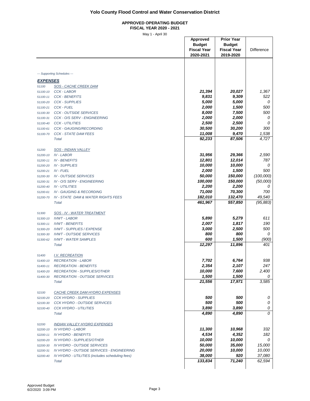#### **APPROVED OPERATING BUDGET FISCAL YEAR 2020 - 2021**

|                      |                                                 | Approved<br><b>Budget</b> | <b>Prior Year</b><br><b>Budget</b> |            |
|----------------------|-------------------------------------------------|---------------------------|------------------------------------|------------|
|                      |                                                 | <b>Fiscal Year</b>        | <b>Fiscal Year</b>                 | Difference |
|                      |                                                 | 2020-2021                 | 2019-2020                          |            |
|                      |                                                 |                           |                                    |            |
|                      |                                                 |                           |                                    |            |
|                      |                                                 |                           |                                    |            |
|                      | --- Supporting Schedules ---                    |                           |                                    |            |
| <b>EXPENSES</b>      |                                                 |                           |                                    |            |
| 51100                | <b>SOS - CACHE CREEK DAM</b>                    |                           |                                    |            |
| 51100-10             | CCK - LABOR                                     | 21,394                    | 20,027                             | 1,367      |
| 51100-11             | <b>CCK - BENEFITS</b>                           | 9,831                     | 9,309                              | 522        |
| 51100-20             | <b>CCK - SUPPLIES</b>                           | 5,000                     | 5,000                              | 0          |
| 51100-21             | <b>CCK - FUEL</b>                               | 2,000                     | 1,500                              | 500        |
| 51100-30             | <b>CCK - OUTSIDE SERVICES</b>                   | 8,000                     | 7,500                              | 500        |
| 51100-31             | CCK - O/S SERV - ENGINEERING                    | 2,000                     | 2,000                              | 0          |
| 51100-40             | <b>CCK - UTILITIES</b>                          | 2,500                     | 2,500                              | 0          |
| 51100-61             | <b>CCK - GAUGING/RECORDING</b>                  | 30,500                    | 30,200                             | 300        |
| 51100-70             | <b>CCK - STATE DAM FEES</b>                     | 11,008                    | 9,470                              | 1,538      |
|                      | Total                                           | 92,233                    | 87,506                             | 4,727      |
|                      |                                                 |                           |                                    |            |
| 51200                | <b>SOS - INDIAN VALLEY</b>                      | 31,956                    | 29,366                             | 2,590      |
| 51200-10             | <b>IV - LABOR</b>                               | 12,801                    | 12,014                             | 787        |
| 51200-11             | <b>IV - BENEFITS</b><br><b>IV - SUPPLIES</b>    | 10,000                    | 10,000                             | 0          |
| 51200-20             | <b>IV - FUEL</b>                                | 2,000                     | 1,500                              | 500        |
| 51200-21             | <b>IV - OUTSIDE SERVICES</b>                    | 50,000                    | 150,000                            | (100,000)  |
| 51200-30<br>51200-31 | IV - O/S SERV - ENGINEERING                     | 100,000                   | 150,000                            | (50,000)   |
| 51200-40             | <b>IV - UTILITIES</b>                           | 2,200                     | 2,200                              | 0          |
| 51200-61             | <b>IV - GAUGING &amp; RECORDING</b>             | 71,000                    | 70,300                             | 700        |
| 51200-70             | <b>IV - STATE DAM &amp; WATER RIGHTS FEES</b>   | 182,010                   | 132,470                            | 49,540     |
|                      | <b>Total</b>                                    | 461,967                   | 557,850                            | (95, 883)  |
|                      |                                                 |                           |                                    |            |
| 51300                | SOS - IV - WATER TREATMENT                      |                           |                                    |            |
| 51300-10             | <b>IVWT-LABOR</b>                               | 5,890                     | 5,279                              | 611        |
| 51300-11             | <b>IVWT - BENEFITS</b>                          | 2,007                     | 1,817                              | 190        |
| 51300-20             | <b>IVWT - SUPPLIES / EXPENSE</b>                | 3,000                     | 2,500                              | 500        |
| 51300-30             | <b>IVWT - OUTSIDE SERVICES</b>                  | 800                       | 800                                | 0          |
| 51300-62             | <b>IVWT - WATER SAMPLES</b>                     | 600                       | 1,500                              | (900)      |
|                      | Total                                           | 12,297                    | 11,896                             | 401        |
|                      |                                                 |                           |                                    |            |
| 51400                | <b>I.V. RECREATION</b>                          |                           |                                    |            |
| 51400-10             | <b>RECREATION - LABOR</b>                       | 7,702                     | 6,764                              | 938        |
| 51400-11             | <b>RECREATION - BENEFITS</b>                    | 2,354                     | 2,107                              | 247        |
| 51400-20             | <b>RECREATION - SUPPLIES/OTHER</b>              | 10,000                    | 7,600                              | 2,400      |
| 51400-30             | <b>RECREATION - OUTSIDE SERVICES</b>            | 1,500                     | 1,500                              | 0          |
|                      | Total                                           | 21,556                    | 17,971                             | 3,585      |
| 52100                | <b>CACHE CREEK DAM HYDRO EXPENSES</b>           |                           |                                    |            |
| 52100-20             | <b>CCK HYDRO - SUPPLIES</b>                     | 500                       | 500                                | 0          |
| 52100-30             | <b>CCK HYDRO - OUTSIDE SERVICES</b>             | 500                       | 500                                | 0          |
| 52100-40             | <b>CCK HYDRO - UTILITIES</b>                    | 3,890                     | 3,890                              | 0          |
|                      | <b>Total</b>                                    | 4,890                     | 4,890                              | 0          |
|                      |                                                 |                           |                                    |            |
| 52200                | <u>INDIAN VALLEY HYDRO EXPENSES</u>             |                           |                                    |            |
| 52200-10             | <b>IV HYDRO - LABOR</b>                         | 11,300                    | 10,968                             | 332        |
| 52200-11             | <b>IV HYDRO - BENEFITS</b>                      | 4,534                     | 4,352                              | 182        |
| 52200-20             | <b>IV HYDRO - SUPPLIES/OTHER</b>                | 10,000                    | 10,000                             | 0          |
| 52200-30             | <b>IV HYDRO - OUTSIDE SERVICES</b>              | 50,000                    | 35,000                             | 15,000     |
| 52200-31             | IV HYDRO - OUTSIDE SERVICES - ENGINEERING       | 20,000                    | 10,000                             | 10,000     |
| 52200-40             | IV HYDRO - UTILITIES (includes scheduling fees) | 38,000                    | 920                                | 37,080     |
|                      | Total                                           | 133,834                   | 71,240                             | 62,594     |
|                      |                                                 |                           |                                    |            |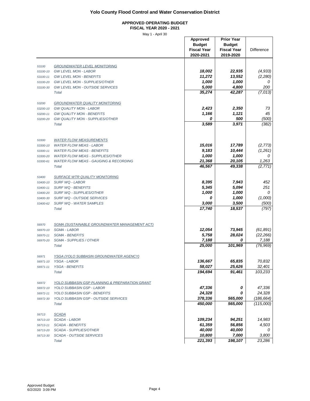#### **APPROVED OPERATING BUDGET FISCAL YEAR 2020 - 2021**

| <b>GROUNDWATER LEVEL MONITORING</b><br>53100<br>18,002<br>22,935<br>(4, 933)<br><b>GW LEVEL MON - LABOR</b><br>53100-10<br>11,272<br>13,552<br>(2, 280)<br><b>GW LEVEL MON - BENEFITS</b><br>53100-11<br>1,000<br>1,000<br>0<br><b>GW LEVEL MON - SUPPLIES/OTHER</b><br>53100-20<br>5,000<br>4,800<br>200<br><b>GW LEVEL MON - OUTSIDE SERVICES</b><br>53100-30<br>(7,013)<br>35,274<br>42,287<br><b>Total</b><br><b>GROUNDWATER QUALITY MONITORING</b><br>53200<br>2,423<br>2,350<br>73<br><b>GW QUALITY MON - LABOR</b><br>53200-10<br>45<br>1,166<br>1,121<br><b>GW QUALITY MON - BENEFITS</b><br>53200-11<br>(500)<br>0<br>500<br><b>GW QUALITY MON - SUPPLIES/OTHER</b><br>53200-20<br>3,589<br>3,971<br>(382)<br><b>Total</b><br><b>WATER FLOW MEASUREMENTS</b><br>53300<br>15,016<br>17,789<br>(2, 773)<br><b>WATER FLOW MEAS - LABOR</b><br>53300-10<br>9,183<br>10,444<br>(1,261)<br><b>WATER FLOW MEAS - BENEFITS</b><br>53300-11<br>1,000<br>1,000<br>0<br><b>WATER FLOW MEAS - SUPPLIES/OTHER</b><br>53300-20<br>21,368<br>20,105<br>1,263<br><b>WATER FLOW MEAS - GAUGING &amp; RECORDING</b><br>53300-61<br>46,567<br>49,338<br>(2, 771)<br><b>Total</b><br><b>SURFACE WTR QUALITY MONITORING</b><br>53400<br>8,395<br>7,943<br>452<br><b>SURF WQ - LABOR</b><br>53400-10<br>5,094<br>251<br>5,345<br><b>SURF WQ - BENEFITS</b><br>53400-11<br>1,000<br>1,000<br>0<br>SURF WQ - SUPPLIES/OTHER<br>53400-20<br>1,000<br>(1,000)<br>0<br>SURF WQ - OUTSIDE SERVICES<br>53400-30<br>3,000<br>3,500<br>(500)<br><b>SURF WQ - WATER SAMPLES</b><br>53400-62<br>(797)<br>17,740<br>18,537<br><b>Total</b><br>SGMA (SUSTAINABLE GROUNDWATER MANAGEMENT ACT)<br>56970<br>12,054<br>73,945<br>(61, 891)<br><b>SGMA - LABOR</b><br>56970-10<br>5,758<br>28,024<br>(22, 266)<br><b>SGMA - BENEFITS</b><br>56970-11<br>7,188<br>0<br>7,188<br><b>SGMA - SUPPLIES / OTHER</b><br>56970-20<br>101,969<br>25,000<br>(76, 969)<br><b>Total</b><br>YSGA (YOLO SUBBASIN GROUNDWATER AGENCY)<br>56971<br>136,667<br>65,835<br>70,832<br>YSGA - LABOR<br>56971-10<br>58,027<br>25,626<br>32,401<br><b>YSGA - BENEFITS</b><br>56971-11<br>194,694<br>91,461<br>103,233<br><b>Total</b><br><u>YOLO SUBBASIN GSP PLANNING &amp; PREPARATION GRANT</u><br>56972<br>47,336<br>47,336<br>0<br><b>YOLO SUBBASIN GSP - LABOR</b><br>56972-10<br>24,328<br>24,328<br>YOLO SUBBASIN GSP - BENEFITS<br>0<br>56972-11<br>378,336<br>(186, 664)<br>565,000<br><b>YOLO SUBBASIN GSP - OUTSIDE SERVICES</b><br>56972-30<br>450,000<br>565,000<br>(115,000)<br><b>Total</b><br><b>SCADA</b><br>56713<br>109,234<br>94,251<br>14,983<br><b>SCADA - LABOR</b><br>56713-10<br>61,359<br>56,856<br>4,503<br><b>SCADA - BENEFITS</b><br>56713-11<br>40,000<br>40,000<br><b>SCADA - SUPPLIES/OTHER</b><br>0<br>56713-20<br>10,800<br>7,000<br>3,800<br><b>SCADA - OUTSIDE SERVICES</b><br>56713-30<br>221,393<br>198,107<br>23,286<br><b>Total</b> |  | Approved<br><b>Budget</b><br><b>Fiscal Year</b><br>2020-2021 | <b>Prior Year</b><br><b>Budget</b><br><b>Fiscal Year</b><br>2019-2020 | Difference |
|------------------------------------------------------------------------------------------------------------------------------------------------------------------------------------------------------------------------------------------------------------------------------------------------------------------------------------------------------------------------------------------------------------------------------------------------------------------------------------------------------------------------------------------------------------------------------------------------------------------------------------------------------------------------------------------------------------------------------------------------------------------------------------------------------------------------------------------------------------------------------------------------------------------------------------------------------------------------------------------------------------------------------------------------------------------------------------------------------------------------------------------------------------------------------------------------------------------------------------------------------------------------------------------------------------------------------------------------------------------------------------------------------------------------------------------------------------------------------------------------------------------------------------------------------------------------------------------------------------------------------------------------------------------------------------------------------------------------------------------------------------------------------------------------------------------------------------------------------------------------------------------------------------------------------------------------------------------------------------------------------------------------------------------------------------------------------------------------------------------------------------------------------------------------------------------------------------------------------------------------------------------------------------------------------------------------------------------------------------------------------------------------------------------------------------------------------------------------------------------------------------------------------------------------------------------------------------------------------------------------------------------------------------------------------------------------------------------------------------------------------------------------------------------------------------------------------------------------------------------------------------------------------------------------|--|--------------------------------------------------------------|-----------------------------------------------------------------------|------------|
|                                                                                                                                                                                                                                                                                                                                                                                                                                                                                                                                                                                                                                                                                                                                                                                                                                                                                                                                                                                                                                                                                                                                                                                                                                                                                                                                                                                                                                                                                                                                                                                                                                                                                                                                                                                                                                                                                                                                                                                                                                                                                                                                                                                                                                                                                                                                                                                                                                                                                                                                                                                                                                                                                                                                                                                                                                                                                                                        |  |                                                              |                                                                       |            |
|                                                                                                                                                                                                                                                                                                                                                                                                                                                                                                                                                                                                                                                                                                                                                                                                                                                                                                                                                                                                                                                                                                                                                                                                                                                                                                                                                                                                                                                                                                                                                                                                                                                                                                                                                                                                                                                                                                                                                                                                                                                                                                                                                                                                                                                                                                                                                                                                                                                                                                                                                                                                                                                                                                                                                                                                                                                                                                                        |  |                                                              |                                                                       |            |
|                                                                                                                                                                                                                                                                                                                                                                                                                                                                                                                                                                                                                                                                                                                                                                                                                                                                                                                                                                                                                                                                                                                                                                                                                                                                                                                                                                                                                                                                                                                                                                                                                                                                                                                                                                                                                                                                                                                                                                                                                                                                                                                                                                                                                                                                                                                                                                                                                                                                                                                                                                                                                                                                                                                                                                                                                                                                                                                        |  |                                                              |                                                                       |            |
|                                                                                                                                                                                                                                                                                                                                                                                                                                                                                                                                                                                                                                                                                                                                                                                                                                                                                                                                                                                                                                                                                                                                                                                                                                                                                                                                                                                                                                                                                                                                                                                                                                                                                                                                                                                                                                                                                                                                                                                                                                                                                                                                                                                                                                                                                                                                                                                                                                                                                                                                                                                                                                                                                                                                                                                                                                                                                                                        |  |                                                              |                                                                       |            |
|                                                                                                                                                                                                                                                                                                                                                                                                                                                                                                                                                                                                                                                                                                                                                                                                                                                                                                                                                                                                                                                                                                                                                                                                                                                                                                                                                                                                                                                                                                                                                                                                                                                                                                                                                                                                                                                                                                                                                                                                                                                                                                                                                                                                                                                                                                                                                                                                                                                                                                                                                                                                                                                                                                                                                                                                                                                                                                                        |  |                                                              |                                                                       |            |
|                                                                                                                                                                                                                                                                                                                                                                                                                                                                                                                                                                                                                                                                                                                                                                                                                                                                                                                                                                                                                                                                                                                                                                                                                                                                                                                                                                                                                                                                                                                                                                                                                                                                                                                                                                                                                                                                                                                                                                                                                                                                                                                                                                                                                                                                                                                                                                                                                                                                                                                                                                                                                                                                                                                                                                                                                                                                                                                        |  |                                                              |                                                                       |            |
|                                                                                                                                                                                                                                                                                                                                                                                                                                                                                                                                                                                                                                                                                                                                                                                                                                                                                                                                                                                                                                                                                                                                                                                                                                                                                                                                                                                                                                                                                                                                                                                                                                                                                                                                                                                                                                                                                                                                                                                                                                                                                                                                                                                                                                                                                                                                                                                                                                                                                                                                                                                                                                                                                                                                                                                                                                                                                                                        |  |                                                              |                                                                       |            |
|                                                                                                                                                                                                                                                                                                                                                                                                                                                                                                                                                                                                                                                                                                                                                                                                                                                                                                                                                                                                                                                                                                                                                                                                                                                                                                                                                                                                                                                                                                                                                                                                                                                                                                                                                                                                                                                                                                                                                                                                                                                                                                                                                                                                                                                                                                                                                                                                                                                                                                                                                                                                                                                                                                                                                                                                                                                                                                                        |  |                                                              |                                                                       |            |
|                                                                                                                                                                                                                                                                                                                                                                                                                                                                                                                                                                                                                                                                                                                                                                                                                                                                                                                                                                                                                                                                                                                                                                                                                                                                                                                                                                                                                                                                                                                                                                                                                                                                                                                                                                                                                                                                                                                                                                                                                                                                                                                                                                                                                                                                                                                                                                                                                                                                                                                                                                                                                                                                                                                                                                                                                                                                                                                        |  |                                                              |                                                                       |            |
|                                                                                                                                                                                                                                                                                                                                                                                                                                                                                                                                                                                                                                                                                                                                                                                                                                                                                                                                                                                                                                                                                                                                                                                                                                                                                                                                                                                                                                                                                                                                                                                                                                                                                                                                                                                                                                                                                                                                                                                                                                                                                                                                                                                                                                                                                                                                                                                                                                                                                                                                                                                                                                                                                                                                                                                                                                                                                                                        |  |                                                              |                                                                       |            |
|                                                                                                                                                                                                                                                                                                                                                                                                                                                                                                                                                                                                                                                                                                                                                                                                                                                                                                                                                                                                                                                                                                                                                                                                                                                                                                                                                                                                                                                                                                                                                                                                                                                                                                                                                                                                                                                                                                                                                                                                                                                                                                                                                                                                                                                                                                                                                                                                                                                                                                                                                                                                                                                                                                                                                                                                                                                                                                                        |  |                                                              |                                                                       |            |
|                                                                                                                                                                                                                                                                                                                                                                                                                                                                                                                                                                                                                                                                                                                                                                                                                                                                                                                                                                                                                                                                                                                                                                                                                                                                                                                                                                                                                                                                                                                                                                                                                                                                                                                                                                                                                                                                                                                                                                                                                                                                                                                                                                                                                                                                                                                                                                                                                                                                                                                                                                                                                                                                                                                                                                                                                                                                                                                        |  |                                                              |                                                                       |            |
|                                                                                                                                                                                                                                                                                                                                                                                                                                                                                                                                                                                                                                                                                                                                                                                                                                                                                                                                                                                                                                                                                                                                                                                                                                                                                                                                                                                                                                                                                                                                                                                                                                                                                                                                                                                                                                                                                                                                                                                                                                                                                                                                                                                                                                                                                                                                                                                                                                                                                                                                                                                                                                                                                                                                                                                                                                                                                                                        |  |                                                              |                                                                       |            |
|                                                                                                                                                                                                                                                                                                                                                                                                                                                                                                                                                                                                                                                                                                                                                                                                                                                                                                                                                                                                                                                                                                                                                                                                                                                                                                                                                                                                                                                                                                                                                                                                                                                                                                                                                                                                                                                                                                                                                                                                                                                                                                                                                                                                                                                                                                                                                                                                                                                                                                                                                                                                                                                                                                                                                                                                                                                                                                                        |  |                                                              |                                                                       |            |
|                                                                                                                                                                                                                                                                                                                                                                                                                                                                                                                                                                                                                                                                                                                                                                                                                                                                                                                                                                                                                                                                                                                                                                                                                                                                                                                                                                                                                                                                                                                                                                                                                                                                                                                                                                                                                                                                                                                                                                                                                                                                                                                                                                                                                                                                                                                                                                                                                                                                                                                                                                                                                                                                                                                                                                                                                                                                                                                        |  |                                                              |                                                                       |            |
|                                                                                                                                                                                                                                                                                                                                                                                                                                                                                                                                                                                                                                                                                                                                                                                                                                                                                                                                                                                                                                                                                                                                                                                                                                                                                                                                                                                                                                                                                                                                                                                                                                                                                                                                                                                                                                                                                                                                                                                                                                                                                                                                                                                                                                                                                                                                                                                                                                                                                                                                                                                                                                                                                                                                                                                                                                                                                                                        |  |                                                              |                                                                       |            |
|                                                                                                                                                                                                                                                                                                                                                                                                                                                                                                                                                                                                                                                                                                                                                                                                                                                                                                                                                                                                                                                                                                                                                                                                                                                                                                                                                                                                                                                                                                                                                                                                                                                                                                                                                                                                                                                                                                                                                                                                                                                                                                                                                                                                                                                                                                                                                                                                                                                                                                                                                                                                                                                                                                                                                                                                                                                                                                                        |  |                                                              |                                                                       |            |
|                                                                                                                                                                                                                                                                                                                                                                                                                                                                                                                                                                                                                                                                                                                                                                                                                                                                                                                                                                                                                                                                                                                                                                                                                                                                                                                                                                                                                                                                                                                                                                                                                                                                                                                                                                                                                                                                                                                                                                                                                                                                                                                                                                                                                                                                                                                                                                                                                                                                                                                                                                                                                                                                                                                                                                                                                                                                                                                        |  |                                                              |                                                                       |            |
|                                                                                                                                                                                                                                                                                                                                                                                                                                                                                                                                                                                                                                                                                                                                                                                                                                                                                                                                                                                                                                                                                                                                                                                                                                                                                                                                                                                                                                                                                                                                                                                                                                                                                                                                                                                                                                                                                                                                                                                                                                                                                                                                                                                                                                                                                                                                                                                                                                                                                                                                                                                                                                                                                                                                                                                                                                                                                                                        |  |                                                              |                                                                       |            |
|                                                                                                                                                                                                                                                                                                                                                                                                                                                                                                                                                                                                                                                                                                                                                                                                                                                                                                                                                                                                                                                                                                                                                                                                                                                                                                                                                                                                                                                                                                                                                                                                                                                                                                                                                                                                                                                                                                                                                                                                                                                                                                                                                                                                                                                                                                                                                                                                                                                                                                                                                                                                                                                                                                                                                                                                                                                                                                                        |  |                                                              |                                                                       |            |
|                                                                                                                                                                                                                                                                                                                                                                                                                                                                                                                                                                                                                                                                                                                                                                                                                                                                                                                                                                                                                                                                                                                                                                                                                                                                                                                                                                                                                                                                                                                                                                                                                                                                                                                                                                                                                                                                                                                                                                                                                                                                                                                                                                                                                                                                                                                                                                                                                                                                                                                                                                                                                                                                                                                                                                                                                                                                                                                        |  |                                                              |                                                                       |            |
|                                                                                                                                                                                                                                                                                                                                                                                                                                                                                                                                                                                                                                                                                                                                                                                                                                                                                                                                                                                                                                                                                                                                                                                                                                                                                                                                                                                                                                                                                                                                                                                                                                                                                                                                                                                                                                                                                                                                                                                                                                                                                                                                                                                                                                                                                                                                                                                                                                                                                                                                                                                                                                                                                                                                                                                                                                                                                                                        |  |                                                              |                                                                       |            |
|                                                                                                                                                                                                                                                                                                                                                                                                                                                                                                                                                                                                                                                                                                                                                                                                                                                                                                                                                                                                                                                                                                                                                                                                                                                                                                                                                                                                                                                                                                                                                                                                                                                                                                                                                                                                                                                                                                                                                                                                                                                                                                                                                                                                                                                                                                                                                                                                                                                                                                                                                                                                                                                                                                                                                                                                                                                                                                                        |  |                                                              |                                                                       |            |
|                                                                                                                                                                                                                                                                                                                                                                                                                                                                                                                                                                                                                                                                                                                                                                                                                                                                                                                                                                                                                                                                                                                                                                                                                                                                                                                                                                                                                                                                                                                                                                                                                                                                                                                                                                                                                                                                                                                                                                                                                                                                                                                                                                                                                                                                                                                                                                                                                                                                                                                                                                                                                                                                                                                                                                                                                                                                                                                        |  |                                                              |                                                                       |            |
|                                                                                                                                                                                                                                                                                                                                                                                                                                                                                                                                                                                                                                                                                                                                                                                                                                                                                                                                                                                                                                                                                                                                                                                                                                                                                                                                                                                                                                                                                                                                                                                                                                                                                                                                                                                                                                                                                                                                                                                                                                                                                                                                                                                                                                                                                                                                                                                                                                                                                                                                                                                                                                                                                                                                                                                                                                                                                                                        |  |                                                              |                                                                       |            |
|                                                                                                                                                                                                                                                                                                                                                                                                                                                                                                                                                                                                                                                                                                                                                                                                                                                                                                                                                                                                                                                                                                                                                                                                                                                                                                                                                                                                                                                                                                                                                                                                                                                                                                                                                                                                                                                                                                                                                                                                                                                                                                                                                                                                                                                                                                                                                                                                                                                                                                                                                                                                                                                                                                                                                                                                                                                                                                                        |  |                                                              |                                                                       |            |
|                                                                                                                                                                                                                                                                                                                                                                                                                                                                                                                                                                                                                                                                                                                                                                                                                                                                                                                                                                                                                                                                                                                                                                                                                                                                                                                                                                                                                                                                                                                                                                                                                                                                                                                                                                                                                                                                                                                                                                                                                                                                                                                                                                                                                                                                                                                                                                                                                                                                                                                                                                                                                                                                                                                                                                                                                                                                                                                        |  |                                                              |                                                                       |            |
|                                                                                                                                                                                                                                                                                                                                                                                                                                                                                                                                                                                                                                                                                                                                                                                                                                                                                                                                                                                                                                                                                                                                                                                                                                                                                                                                                                                                                                                                                                                                                                                                                                                                                                                                                                                                                                                                                                                                                                                                                                                                                                                                                                                                                                                                                                                                                                                                                                                                                                                                                                                                                                                                                                                                                                                                                                                                                                                        |  |                                                              |                                                                       |            |
|                                                                                                                                                                                                                                                                                                                                                                                                                                                                                                                                                                                                                                                                                                                                                                                                                                                                                                                                                                                                                                                                                                                                                                                                                                                                                                                                                                                                                                                                                                                                                                                                                                                                                                                                                                                                                                                                                                                                                                                                                                                                                                                                                                                                                                                                                                                                                                                                                                                                                                                                                                                                                                                                                                                                                                                                                                                                                                                        |  |                                                              |                                                                       |            |
|                                                                                                                                                                                                                                                                                                                                                                                                                                                                                                                                                                                                                                                                                                                                                                                                                                                                                                                                                                                                                                                                                                                                                                                                                                                                                                                                                                                                                                                                                                                                                                                                                                                                                                                                                                                                                                                                                                                                                                                                                                                                                                                                                                                                                                                                                                                                                                                                                                                                                                                                                                                                                                                                                                                                                                                                                                                                                                                        |  |                                                              |                                                                       |            |
|                                                                                                                                                                                                                                                                                                                                                                                                                                                                                                                                                                                                                                                                                                                                                                                                                                                                                                                                                                                                                                                                                                                                                                                                                                                                                                                                                                                                                                                                                                                                                                                                                                                                                                                                                                                                                                                                                                                                                                                                                                                                                                                                                                                                                                                                                                                                                                                                                                                                                                                                                                                                                                                                                                                                                                                                                                                                                                                        |  |                                                              |                                                                       |            |
|                                                                                                                                                                                                                                                                                                                                                                                                                                                                                                                                                                                                                                                                                                                                                                                                                                                                                                                                                                                                                                                                                                                                                                                                                                                                                                                                                                                                                                                                                                                                                                                                                                                                                                                                                                                                                                                                                                                                                                                                                                                                                                                                                                                                                                                                                                                                                                                                                                                                                                                                                                                                                                                                                                                                                                                                                                                                                                                        |  |                                                              |                                                                       |            |
|                                                                                                                                                                                                                                                                                                                                                                                                                                                                                                                                                                                                                                                                                                                                                                                                                                                                                                                                                                                                                                                                                                                                                                                                                                                                                                                                                                                                                                                                                                                                                                                                                                                                                                                                                                                                                                                                                                                                                                                                                                                                                                                                                                                                                                                                                                                                                                                                                                                                                                                                                                                                                                                                                                                                                                                                                                                                                                                        |  |                                                              |                                                                       |            |
|                                                                                                                                                                                                                                                                                                                                                                                                                                                                                                                                                                                                                                                                                                                                                                                                                                                                                                                                                                                                                                                                                                                                                                                                                                                                                                                                                                                                                                                                                                                                                                                                                                                                                                                                                                                                                                                                                                                                                                                                                                                                                                                                                                                                                                                                                                                                                                                                                                                                                                                                                                                                                                                                                                                                                                                                                                                                                                                        |  |                                                              |                                                                       |            |
|                                                                                                                                                                                                                                                                                                                                                                                                                                                                                                                                                                                                                                                                                                                                                                                                                                                                                                                                                                                                                                                                                                                                                                                                                                                                                                                                                                                                                                                                                                                                                                                                                                                                                                                                                                                                                                                                                                                                                                                                                                                                                                                                                                                                                                                                                                                                                                                                                                                                                                                                                                                                                                                                                                                                                                                                                                                                                                                        |  |                                                              |                                                                       |            |
|                                                                                                                                                                                                                                                                                                                                                                                                                                                                                                                                                                                                                                                                                                                                                                                                                                                                                                                                                                                                                                                                                                                                                                                                                                                                                                                                                                                                                                                                                                                                                                                                                                                                                                                                                                                                                                                                                                                                                                                                                                                                                                                                                                                                                                                                                                                                                                                                                                                                                                                                                                                                                                                                                                                                                                                                                                                                                                                        |  |                                                              |                                                                       |            |
|                                                                                                                                                                                                                                                                                                                                                                                                                                                                                                                                                                                                                                                                                                                                                                                                                                                                                                                                                                                                                                                                                                                                                                                                                                                                                                                                                                                                                                                                                                                                                                                                                                                                                                                                                                                                                                                                                                                                                                                                                                                                                                                                                                                                                                                                                                                                                                                                                                                                                                                                                                                                                                                                                                                                                                                                                                                                                                                        |  |                                                              |                                                                       |            |
|                                                                                                                                                                                                                                                                                                                                                                                                                                                                                                                                                                                                                                                                                                                                                                                                                                                                                                                                                                                                                                                                                                                                                                                                                                                                                                                                                                                                                                                                                                                                                                                                                                                                                                                                                                                                                                                                                                                                                                                                                                                                                                                                                                                                                                                                                                                                                                                                                                                                                                                                                                                                                                                                                                                                                                                                                                                                                                                        |  |                                                              |                                                                       |            |
|                                                                                                                                                                                                                                                                                                                                                                                                                                                                                                                                                                                                                                                                                                                                                                                                                                                                                                                                                                                                                                                                                                                                                                                                                                                                                                                                                                                                                                                                                                                                                                                                                                                                                                                                                                                                                                                                                                                                                                                                                                                                                                                                                                                                                                                                                                                                                                                                                                                                                                                                                                                                                                                                                                                                                                                                                                                                                                                        |  |                                                              |                                                                       |            |
|                                                                                                                                                                                                                                                                                                                                                                                                                                                                                                                                                                                                                                                                                                                                                                                                                                                                                                                                                                                                                                                                                                                                                                                                                                                                                                                                                                                                                                                                                                                                                                                                                                                                                                                                                                                                                                                                                                                                                                                                                                                                                                                                                                                                                                                                                                                                                                                                                                                                                                                                                                                                                                                                                                                                                                                                                                                                                                                        |  |                                                              |                                                                       |            |
|                                                                                                                                                                                                                                                                                                                                                                                                                                                                                                                                                                                                                                                                                                                                                                                                                                                                                                                                                                                                                                                                                                                                                                                                                                                                                                                                                                                                                                                                                                                                                                                                                                                                                                                                                                                                                                                                                                                                                                                                                                                                                                                                                                                                                                                                                                                                                                                                                                                                                                                                                                                                                                                                                                                                                                                                                                                                                                                        |  |                                                              |                                                                       |            |
|                                                                                                                                                                                                                                                                                                                                                                                                                                                                                                                                                                                                                                                                                                                                                                                                                                                                                                                                                                                                                                                                                                                                                                                                                                                                                                                                                                                                                                                                                                                                                                                                                                                                                                                                                                                                                                                                                                                                                                                                                                                                                                                                                                                                                                                                                                                                                                                                                                                                                                                                                                                                                                                                                                                                                                                                                                                                                                                        |  |                                                              |                                                                       |            |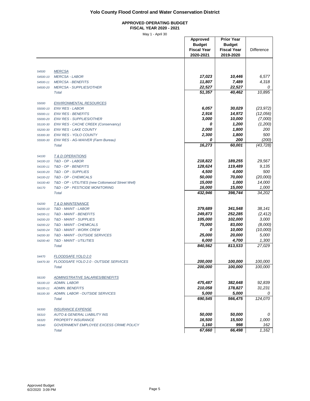#### **APPROVED OPERATING BUDGET FISCAL YEAR 2020 - 2021**

|                      |                                                                                      | Approved<br><b>Budget</b><br><b>Fiscal Year</b><br>2020-2021 | <b>Prior Year</b><br><b>Budget</b><br><b>Fiscal Year</b><br>2019-2020 | <b>Difference</b> |
|----------------------|--------------------------------------------------------------------------------------|--------------------------------------------------------------|-----------------------------------------------------------------------|-------------------|
|                      |                                                                                      |                                                              |                                                                       |                   |
| 54500                | <b>MERCSA</b>                                                                        |                                                              |                                                                       |                   |
| 54500-10             | <b>MERCSA - LABOR</b>                                                                | 17,023<br>11,807                                             | 10,446<br>7,489                                                       | 6,577<br>4,318    |
| 54500-11<br>54500-20 | <b>MERCSA - BENEFITS</b><br><b>MERCSA - SUPPLIES/OTHER</b>                           | 22,527                                                       | 22,527                                                                | 0                 |
|                      | Total                                                                                | 51,357                                                       | 40,462                                                                | 10,895            |
|                      |                                                                                      |                                                              |                                                                       |                   |
| 55000                | <b>ENVIRONMENTAL RESOURCES</b>                                                       |                                                              |                                                                       |                   |
| 55000-10             | <b>ENV RES - LABOR</b>                                                               | 6,057                                                        | 30,029                                                                | (23, 972)         |
| 55000-11             | <b>ENV RES - BENEFITS</b>                                                            | 2,916                                                        | 14,972                                                                | (12,056)          |
| 55000-20             | <b>ENV RES - SUPPLIES/OTHER</b>                                                      | 3,000                                                        | 10,000                                                                | (7,000)           |
| 55100-30             | <b>ENV RES - CACHE CREEK (Conservancy)</b>                                           | 0                                                            | 1,200                                                                 | (1,200)           |
| 55200-30             | <b>ENV RES - LAKE COUNTY</b><br><b>ENV RES - YOLO COUNTY</b>                         | 2,000<br>2,300                                               | 1,800<br>1,800                                                        | 200<br>500        |
| 55300-30<br>55500-30 | ENV RES - AG-WAIVER (Farm Bureau)                                                    | 0                                                            | 200                                                                   | (200)             |
|                      | <b>Total</b>                                                                         | 16,273                                                       | 60,001                                                                | (43, 728)         |
|                      |                                                                                      |                                                              |                                                                       |                   |
| 54100                | <b>T &amp; D OPERATIONS</b>                                                          |                                                              |                                                                       |                   |
| 54100-10             | T&D - OP - LABOR                                                                     | 218,822                                                      | 189,255                                                               | 29,567            |
| 54100-11             | T&D - OP - BENEFITS                                                                  | 128,624                                                      | 119,489                                                               | 9,135             |
| 54100-20             | T&D - OP - SUPPLIES                                                                  | 4,500                                                        | 4,000                                                                 | 500               |
| 54100-22             | T&D - OP - CHEMICALS                                                                 | 50,000                                                       | 70,000                                                                | (20,000)          |
| 54100-40             | T&D - OP - UTILITIES (new Cottonwood Street Well)<br>T&D - OP - PESTICIDE MONITORING | 15,000<br>16,000                                             | 1,000<br>15,000                                                       | 14,000<br>1,000   |
| 54170                | <b>Total</b>                                                                         | 432,946                                                      | 398,744                                                               | 34,202            |
|                      |                                                                                      |                                                              |                                                                       |                   |
| 54200                | <b>T &amp; D MAINTENANCE</b>                                                         |                                                              |                                                                       |                   |
| 54200-10             | T&D - MAINT - LABOR                                                                  | 379,689                                                      | 341,548                                                               | 38,141            |
| 54200-11             | T&D - MAINT - BENEFITS                                                               | 249,873                                                      | 252,285                                                               | (2, 412)          |
| 54200-20             | T&D - MAINT - SUPPLIES                                                               | 105,000                                                      | 102,000                                                               | 3,000             |
| 54200-22             | T&D - MAINT - CHEMICALS                                                              | 75,000                                                       | 83,000                                                                | (8,000)           |
| 54200-24             | T&D - MAINT - WORK CREW                                                              | 0                                                            | 10,000                                                                | (10,000)          |
| 54200-30             | T&D - MAINT - OUTSIDE SERVICES                                                       | 25,000<br>6,000                                              | 20,000<br>4,700                                                       | 5,000             |
| 54200-40             | T&D - MAINT - UTILITIES<br>Total                                                     | 840,562                                                      | 813,533                                                               | 1,300<br>27,029   |
|                      |                                                                                      |                                                              |                                                                       |                   |
| 54470                | <b>FLOODSAFE YOLO 2.0</b>                                                            |                                                              |                                                                       |                   |
| 54470-30             | FLOODSAFE YOLO 2.0 - OUTSIDE SERVICES                                                | 200,000                                                      | 100,000                                                               | 100,000           |
|                      | <b>Total</b>                                                                         | 200,000                                                      | 100,000                                                               | 100,000           |
| 56100                | <b>ADMINISTRATIVE SALARIES/BENEFITS</b>                                              |                                                              |                                                                       |                   |
| 56100-10             | <b>ADMIN. LABOR</b>                                                                  | 475,487                                                      | 382,648                                                               | 92,839            |
| 56100-11             | <b>ADMIN. BENEFITS</b>                                                               | 210,058                                                      | 178,827                                                               | 31,231            |
| 56100-30             | ADMIN. LABOR - OUTSIDE SERVICES                                                      | 5,000                                                        | 5,000                                                                 |                   |
|                      | <b>Total</b>                                                                         | 690,545                                                      | 566,475                                                               | 124,070           |
|                      |                                                                                      |                                                              |                                                                       |                   |
| 56300                | <b>INSURANCE EXPENSE</b>                                                             |                                                              |                                                                       |                   |
| 56310                | <b>AUTO &amp; GENERAL LIABILITY INS</b>                                              | 50,000                                                       | 50,000                                                                | 0                 |
| 56320                | <b>PROPERTY INSURANCE</b>                                                            | 16,500                                                       | 15,500                                                                | 1,000             |
| 56340                | GOVERNMENT EMPLOYEE EXCESS CRIME POLICY<br>Total                                     | 1,160<br>67,660                                              | 998<br>66,498                                                         | 162<br>1,162      |
|                      |                                                                                      |                                                              |                                                                       |                   |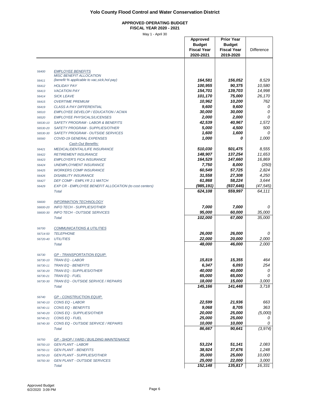#### **APPROVED OPERATING BUDGET FISCAL YEAR 2020 - 2021**

|          |                                                        | <b>Approved</b>    | <b>Prior Year</b>  |                   |
|----------|--------------------------------------------------------|--------------------|--------------------|-------------------|
|          |                                                        | <b>Budget</b>      | <b>Budget</b>      |                   |
|          |                                                        | <b>Fiscal Year</b> | <b>Fiscal Year</b> | <b>Difference</b> |
|          |                                                        | 2020-2021          | 2019-2020          |                   |
|          |                                                        |                    |                    |                   |
|          |                                                        |                    |                    |                   |
| 56400    | <b>EMPLOYEE BENEFITS</b>                               |                    |                    |                   |
|          | <b>MISC BENEFIT ALLOCATION</b>                         |                    |                    |                   |
| 56411    | (benefit % applicable to vac, sick, hol pay)           | 164,581            | 156,052            | 8,529             |
| 56412    | <b>HOLIDAY PAY</b>                                     | 100,955            | 90,375             | 10,580            |
| 56413    | <b>VACATION PAY</b>                                    | 154,701            | 139,703            | 14,998            |
| 56414    | <b>SICK LEAVE</b>                                      | 101,170            | 75,000             | 26,170            |
| 56415    | <b>OVERTIME PREMIUM</b>                                | 10,962             | 10,200             | 762               |
| 56419    | <b>CLASS A PAY DIFFERENTIAL</b>                        | 9,600              | 9,600              | 0                 |
| 56510    | EMPLOYEE DEVELOP / EDUCATION / ACWA                    | 30,000             | 30,000             | 0                 |
|          |                                                        | 2,000              |                    | 0                 |
| 56520    | <b>EMPLOYEE PHYSICALS/LICENSES</b>                     |                    | 2,000              |                   |
| 56530-10 | SAFETY PROGRAM - LABOR & BENEFITS                      | 42,539             | 40,967             | 1,572             |
| 56530-20 | SAFETY PROGRAM - SUPPLIES/OTHER                        | 5,000              | 4,500              | 500               |
| 56530-30 | SAFETY PROGRAM - OUTSIDE SERVICES                      | 1,600              | 1,600              | 0                 |
| 56560    | COVID-19 GENERAL EXPENSES                              | 1,000              | 0                  | 1,000             |
|          | Cash-Out Benefits:                                     |                    |                    |                   |
| 56421    | <b>MEDICAL/DENTAL/LIFE INSURANCE</b>                   | 510,030            | 501,475            | 8,555             |
| 56422    | <b>RETIREMENT INSURANCE</b>                            | 148,907            | 137,254            | 11,653            |
| 56423    | <b>EMPLOYER'S FICA INSURANCE</b>                       | 164,529            | 147,660            | 16,869            |
| 56424    | <b>UNEMPLOYMENT INSURANCE</b>                          | 7,750              | 8,000              | (250)             |
|          |                                                        |                    |                    |                   |
| 56425    | <b>WORKERS COMP INSURANCE</b>                          | 60,549             | 57,725             | 2,824             |
| 56426    | <b>DISABILITY INSURANCE</b>                            | 31,558             | 27,308             | 4,250             |
| 56427    | DEF COMP - EMPLYR 2:1 MATCH                            | 61,868             | 58,224             | 3,644             |
| 56429    | EXP CR - EMPLOYEE BENEFIT ALLOCATION (to cost centers) | (985, 191)         | (937, 646)         | (47, 545)         |
|          | Total                                                  | 624,108            | 559,997            | 64,111            |
|          |                                                        |                    |                    |                   |
| 56600    | <b>INFORMATION TECHNOLOGY</b>                          |                    |                    |                   |
| 56600-20 | <b>INFO TECH - SUPPLIES/OTHER</b>                      | 7,000              | 7,000              | 0                 |
|          | <b>INFO TECH - OUTSIDE SERVICES</b>                    | 95,000             | 60,000             |                   |
| 56600-30 |                                                        |                    |                    | 35,000            |
|          | Total                                                  | 102,000            | 67,000             | 35,000            |
|          |                                                        |                    |                    |                   |
| 56700    | <b>COMMUNICATIONS &amp; UTILITIES</b>                  |                    |                    |                   |
| 56714-50 | <b>TELEPHONE</b>                                       | 26,000             | 26,000             | 0                 |
| 56720-40 | <b>UTILITIES</b>                                       | 22,000             | 20,000             | 2,000             |
|          | <b>Total</b>                                           | 48,000             | 46,000             | 2,000             |
|          |                                                        |                    |                    |                   |
| 56730    | GP - TRANSPORTATION EQUIP.                             |                    |                    |                   |
|          | <b>TRAN EQ - LABOR</b>                                 | 15,819             | 15,355             | 464               |
| 56730-10 |                                                        |                    |                    |                   |
| 56730-11 | <b>TRAN EQ - BENEFITS</b>                              | 6,347              | 6,093              | 254               |
| 56730-20 | <b>TRAN EQ - SUPPLIES/OTHER</b>                        | 40,000             | 40,000             | 0                 |
| 56730-21 | <b>TRAN EQ - FUEL</b>                                  | 65,000             | 65,000             | 0                 |
| 56730-30 | TRAN EQ - OUTSIDE SERVICE / REPAIRS                    | 18,000             | 15,000             | 3,000             |
|          | <b>Total</b>                                           | 145,166            | 141,448            | 3,718             |
|          |                                                        |                    |                    |                   |
| 56740    | <b>GP - CONSTRUCTION EQUIP.</b>                        |                    |                    |                   |
| 56740-10 | CONS EQ - LABOR                                        | 22,599             | 21,936             | 663               |
| 56740-11 | CONS EQ - BENEFITS                                     | 9,068              | 8,705              | 363               |
|          |                                                        |                    |                    |                   |
| 56740-20 | CONS EQ - SUPPLIES/OTHER                               | 20,000             | 25,000             | (5,000)           |
| 56740-21 | CONS EQ - FUEL                                         | 25,000             | 25,000             | 0                 |
| 56740-30 | CONS EQ - OUTSIDE SERVICE / REPAIRS                    | 10,000             | 10,000             | 0                 |
|          | <b>Total</b>                                           | 86,667             | 90,641             | (3, 974)          |
|          |                                                        |                    |                    |                   |
| 56750    | <b>GP - SHOP / YARD / BUILDING MAINTENANCE</b>         |                    |                    |                   |
| 56750-10 | <b>GEN PLANT - LABOR</b>                               | 53,224             | 51,141             | 2,083             |
| 56750-11 | <b>GEN PLANT - BENEFITS</b>                            | 38,924             | 37,676             | 1,248             |
|          | <b>GEN PLANT - SUPPLIES/OTHER</b>                      | 35,000             | 25,000             | 10,000            |
| 56750-20 |                                                        |                    |                    |                   |
| 56750-30 | <b>GEN PLANT - OUTSIDE SERVICES</b>                    | 25,000             | 22,000             | 3,000             |
|          | <b>Total</b>                                           | 152,148            | 135,817            | 16,331            |